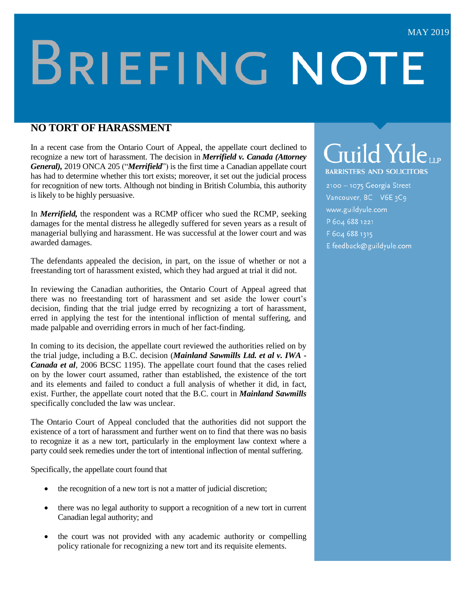# **BRIEFING NOTE**

### **NO TORT OF HARASSMENT**

In a recent case from the Ontario Court of Appeal, the appellate court declined to recognize a new tort of harassment. The decision in *Merrifield v. Canada (Attorney General),* 2019 ONCA 205 ("*Merrifield*") is the first time a Canadian appellate court has had to determine whether this tort exists; moreover, it set out the judicial process for recognition of new torts. Although not binding in British Columbia, this authority is likely to be highly persuasive.

In *Merrifield,* the respondent was a RCMP officer who sued the RCMP, seeking damages for the mental distress he allegedly suffered for seven years as a result of managerial bullying and harassment. He was successful at the lower court and was awarded damages.

The defendants appealed the decision, in part, on the issue of whether or not a freestanding tort of harassment existed, which they had argued at trial it did not.

In reviewing the Canadian authorities, the Ontario Court of Appeal agreed that there was no freestanding tort of harassment and set aside the lower court's decision, finding that the trial judge erred by recognizing a tort of harassment, erred in applying the test for the intentional infliction of mental suffering, and made palpable and overriding errors in much of her fact-finding.

In coming to its decision, the appellate court reviewed the authorities relied on by the trial judge, including a B.C. decision (*Mainland Sawmills Ltd. et al v. IWA - Canada et al*, 2006 BCSC 1195). The appellate court found that the cases relied on by the lower court assumed, rather than established, the existence of the tort and its elements and failed to conduct a full analysis of whether it did, in fact, exist. Further, the appellate court noted that the B.C. court in *Mainland Sawmills* specifically concluded the law was unclear.

The Ontario Court of Appeal concluded that the authorities did not support the existence of a tort of harassment and further went on to find that there was no basis to recognize it as a new tort, particularly in the employment law context where a party could seek remedies under the tort of intentional inflection of mental suffering.

Specifically, the appellate court found that

- the recognition of a new tort is not a matter of judicial discretion;
- there was no legal authority to support a recognition of a new tort in current Canadian legal authority; and
- the court was not provided with any academic authority or compelling policy rationale for recognizing a new tort and its requisite elements.

# Guild Yuleur

**BARRISTERS AND SOLICITORS** 

2100 - 1075 Georgia Street Vancouver, BC V6E3C9 www.guildyule.com P 604 688 1221 F 604 688 1315 E feedback@guildyule.com